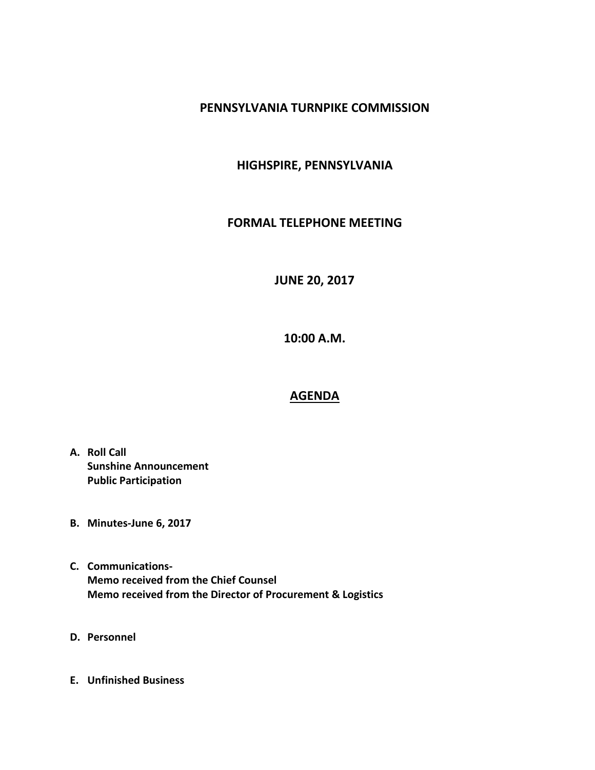## **PENNSYLVANIA TURNPIKE COMMISSION**

## **HIGHSPIRE, PENNSYLVANIA**

## **FORMAL TELEPHONE MEETING**

**JUNE 20, 2017**

**10:00 A.M.**

## **AGENDA**

- **A. Roll Call Sunshine Announcement Public Participation**
- **B. Minutes-June 6, 2017**
- **C. Communications-Memo received from the Chief Counsel Memo received from the Director of Procurement & Logistics**
- **D. Personnel**
- **E. Unfinished Business**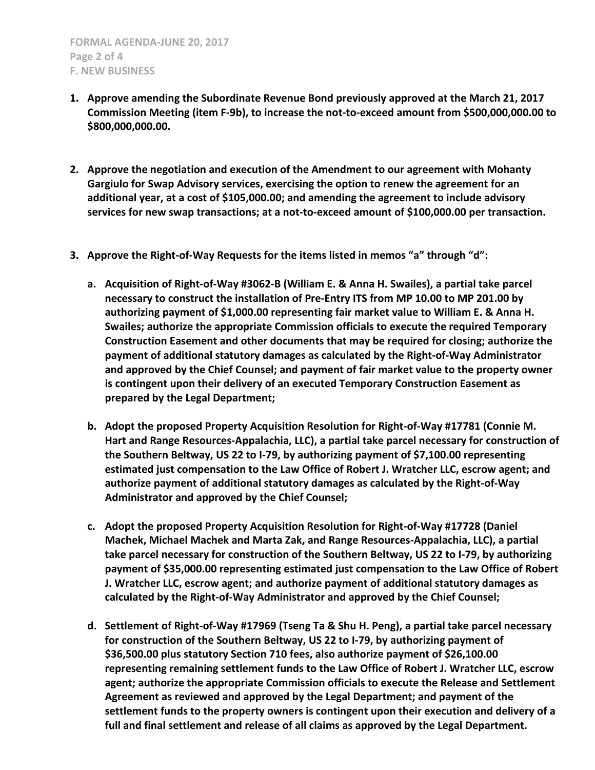- **1. Approve amending the Subordinate Revenue Bond previously approved at the March 21, 2017 Commission Meeting (item F-9b), to increase the not-to-exceed amount from \$500,000,000.00 to \$800,000,000.00.**
- **2. Approve the negotiation and execution of the Amendment to our agreement with Mohanty Gargiulo for Swap Advisory services, exercising the option to renew the agreement for an additional year, at a cost of \$105,000.00; and amending the agreement to include advisory services for new swap transactions; at a not-to-exceed amount of \$100,000.00 per transaction.**
- **3. Approve the Right-of-Way Requests for the items listed in memos "a" through "d":**
	- **a. Acquisition of Right-of-Way #3062-B (William E. & Anna H. Swailes), a partial take parcel necessary to construct the installation of Pre-Entry ITS from MP 10.00 to MP 201.00 by authorizing payment of \$1,000.00 representing fair market value to William E. & Anna H. Swailes; authorize the appropriate Commission officials to execute the required Temporary Construction Easement and other documents that may be required for closing; authorize the payment of additional statutory damages as calculated by the Right-of-Way Administrator and approved by the Chief Counsel; and payment of fair market value to the property owner is contingent upon their delivery of an executed Temporary Construction Easement as prepared by the Legal Department;**
	- **b. Adopt the proposed Property Acquisition Resolution for Right-of-Way #17781 (Connie M. Hart and Range Resources-Appalachia, LLC), a partial take parcel necessary for construction of the Southern Beltway, US 22 to I-79, by authorizing payment of \$7,100.00 representing estimated just compensation to the Law Office of Robert J. Wratcher LLC, escrow agent; and authorize payment of additional statutory damages as calculated by the Right-of-Way Administrator and approved by the Chief Counsel;**
	- **c. Adopt the proposed Property Acquisition Resolution for Right-of-Way #17728 (Daniel Machek, Michael Machek and Marta Zak, and Range Resources-Appalachia, LLC), a partial take parcel necessary for construction of the Southern Beltway, US 22 to I-79, by authorizing payment of \$35,000.00 representing estimated just compensation to the Law Office of Robert J. Wratcher LLC, escrow agent; and authorize payment of additional statutory damages as calculated by the Right-of-Way Administrator and approved by the Chief Counsel;**
	- **d. Settlement of Right-of-Way #17969 (Tseng Ta & Shu H. Peng), a partial take parcel necessary for construction of the Southern Beltway, US 22 to I-79, by authorizing payment of \$36,500.00 plus statutory Section 710 fees, also authorize payment of \$26,100.00 representing remaining settlement funds to the Law Office of Robert J. Wratcher LLC, escrow agent; authorize the appropriate Commission officials to execute the Release and Settlement Agreement as reviewed and approved by the Legal Department; and payment of the settlement funds to the property owners is contingent upon their execution and delivery of a full and final settlement and release of all claims as approved by the Legal Department.**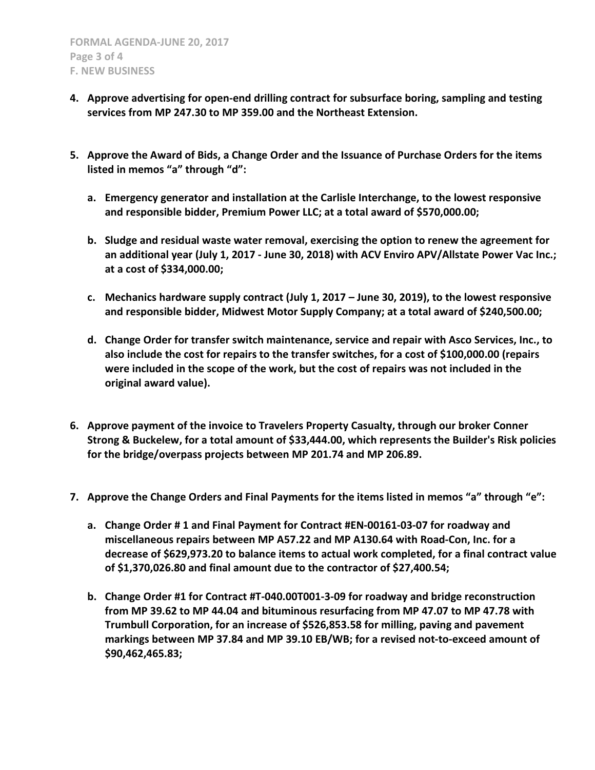- **4. Approve advertising for open-end drilling contract for subsurface boring, sampling and testing services from MP 247.30 to MP 359.00 and the Northeast Extension.**
- **5. Approve the Award of Bids, a Change Order and the Issuance of Purchase Orders for the items listed in memos "a" through "d":**
	- **a. Emergency generator and installation at the Carlisle Interchange, to the lowest responsive and responsible bidder, Premium Power LLC; at a total award of \$570,000.00;**
	- **b. Sludge and residual waste water removal, exercising the option to renew the agreement for an additional year (July 1, 2017 - June 30, 2018) with ACV Enviro APV/Allstate Power Vac Inc.; at a cost of \$334,000.00;**
	- **c. Mechanics hardware supply contract (July 1, 2017 – June 30, 2019), to the lowest responsive and responsible bidder, Midwest Motor Supply Company; at a total award of \$240,500.00;**
	- **d. Change Order for transfer switch maintenance, service and repair with Asco Services, Inc., to also include the cost for repairs to the transfer switches, for a cost of \$100,000.00 (repairs were included in the scope of the work, but the cost of repairs was not included in the original award value).**
- **6. Approve payment of the invoice to Travelers Property Casualty, through our broker Conner Strong & Buckelew, for a total amount of \$33,444.00, which represents the Builder's Risk policies for the bridge/overpass projects between MP 201.74 and MP 206.89.**
- **7. Approve the Change Orders and Final Payments for the items listed in memos "a" through "e":**
	- **a. Change Order # 1 and Final Payment for Contract #EN-00161-03-07 for roadway and miscellaneous repairs between MP A57.22 and MP A130.64 with Road-Con, Inc. for a decrease of \$629,973.20 to balance items to actual work completed, for a final contract value of \$1,370,026.80 and final amount due to the contractor of \$27,400.54;**
	- **b. Change Order #1 for Contract #T-040.00T001-3-09 for roadway and bridge reconstruction from MP 39.62 to MP 44.04 and bituminous resurfacing from MP 47.07 to MP 47.78 with Trumbull Corporation, for an increase of \$526,853.58 for milling, paving and pavement markings between MP 37.84 and MP 39.10 EB/WB; for a revised not-to-exceed amount of \$90,462,465.83;**